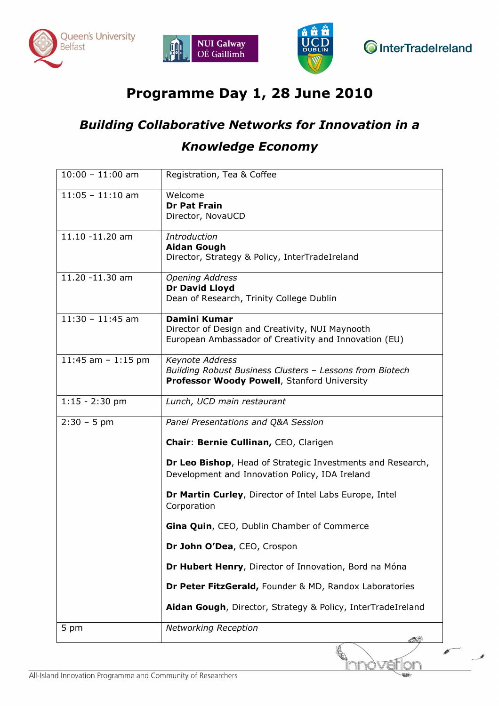





**O**InterTradeIreland

## Programme Day 1, 28 June 2010

# Building Collaborative Networks for Innovation in a Knowledge Economy

| $10:00 - 11:00$ am   | Registration, Tea & Coffee                                                                                                        |
|----------------------|-----------------------------------------------------------------------------------------------------------------------------------|
| $11:05 - 11:10$ am   | Welcome<br><b>Dr Pat Frain</b><br>Director, NovaUCD                                                                               |
| 11.10 -11.20 am      | <b>Introduction</b><br><b>Aidan Gough</b><br>Director, Strategy & Policy, InterTradeIreland                                       |
| 11.20 -11.30 am      | <b>Opening Address</b><br>Dr David Lloyd<br>Dean of Research, Trinity College Dublin                                              |
| $11:30 - 11:45$ am   | <b>Damini Kumar</b><br>Director of Design and Creativity, NUI Maynooth<br>European Ambassador of Creativity and Innovation (EU)   |
| 11:45 am $-$ 1:15 pm | <b>Keynote Address</b><br>Building Robust Business Clusters - Lessons from Biotech<br>Professor Woody Powell, Stanford University |
| $1:15 - 2:30$ pm     | Lunch, UCD main restaurant                                                                                                        |
| $2:30 - 5$ pm        | Panel Presentations and Q&A Session                                                                                               |
|                      | Chair: Bernie Cullinan, CEO, Clarigen                                                                                             |
|                      | Dr Leo Bishop, Head of Strategic Investments and Research,<br>Development and Innovation Policy, IDA Ireland                      |
|                      | Dr Martin Curley, Director of Intel Labs Europe, Intel<br>Corporation                                                             |
|                      | Gina Quin, CEO, Dublin Chamber of Commerce                                                                                        |
|                      | Dr John O'Dea, CEO, Crospon                                                                                                       |
|                      | Dr Hubert Henry, Director of Innovation, Bord na Móna                                                                             |
|                      | Dr Peter FitzGerald, Founder & MD, Randox Laboratories                                                                            |
|                      | Aidan Gough, Director, Strategy & Policy, InterTradeIreland                                                                       |
| 5 pm                 | <b>Networking Reception</b>                                                                                                       |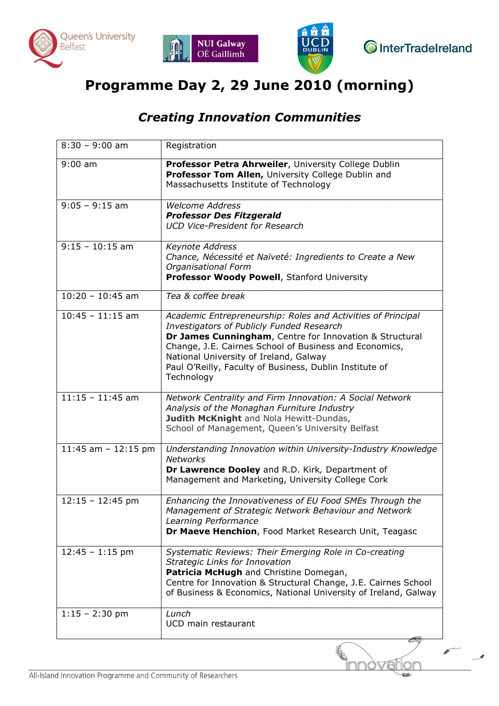





**O**InterTradeIreland

## Programme Day 2, 29 June 2010 (morning)

### Creating Innovation Communities

| $8:30 - 9:00$ am      | Registration                                                                                                                                                                                                                                                                                                                                      |
|-----------------------|---------------------------------------------------------------------------------------------------------------------------------------------------------------------------------------------------------------------------------------------------------------------------------------------------------------------------------------------------|
| $9:00$ am             | Professor Petra Ahrweiler, University College Dublin<br>Professor Tom Allen, University College Dublin and<br>Massachusetts Institute of Technology                                                                                                                                                                                               |
| $9:05 - 9:15$ am      | <b>Welcome Address</b><br><b>Professor Des Fitzgerald</b><br><b>UCD Vice-President for Research</b>                                                                                                                                                                                                                                               |
| $9:15 - 10:15$ am     | Keynote Address<br>Chance, Nécessité et Naïveté: Ingredients to Create a New<br>Organisational Form<br>Professor Woody Powell, Stanford University                                                                                                                                                                                                |
| $10:20 - 10:45$ am    | Tea & coffee break                                                                                                                                                                                                                                                                                                                                |
| $10:45 - 11:15$ am    | Academic Entrepreneurship: Roles and Activities of Principal<br>Investigators of Publicly Funded Research<br>Dr James Cunningham, Centre for Innovation & Structural<br>Change, J.E. Cairnes School of Business and Economics,<br>National University of Ireland, Galway<br>Paul O'Reilly, Faculty of Business, Dublin Institute of<br>Technology |
| $11:15 - 11:45$ am    | Network Centrality and Firm Innovation: A Social Network<br>Analysis of the Monaghan Furniture Industry<br>Judith McKnight and Nola Hewitt-Dundas,<br>School of Management, Queen's University Belfast                                                                                                                                            |
| 11:45 am $-$ 12:15 pm | Understanding Innovation within University-Industry Knowledge<br><b>Networks</b><br>Dr Lawrence Dooley and R.D. Kirk, Department of<br>Management and Marketing, University College Cork                                                                                                                                                          |
| $12:15 - 12:45$ pm    | Enhancing the Innovativeness of EU Food SMEs Through the<br>Management of Strategic Network Behaviour and Network<br>Learning Performance<br>Dr Maeve Henchion, Food Market Research Unit, Teagasc                                                                                                                                                |
| $12:45 - 1:15$ pm     | Systematic Reviews: Their Emerging Role in Co-creating<br>Strategic Links for Innovation<br>Patricia McHugh and Christine Domegan,<br>Centre for Innovation & Structural Change, J.E. Cairnes School<br>of Business & Economics, National University of Ireland, Galway                                                                           |
| $1:15 - 2:30$ pm      | Lunch<br>UCD main restaurant                                                                                                                                                                                                                                                                                                                      |